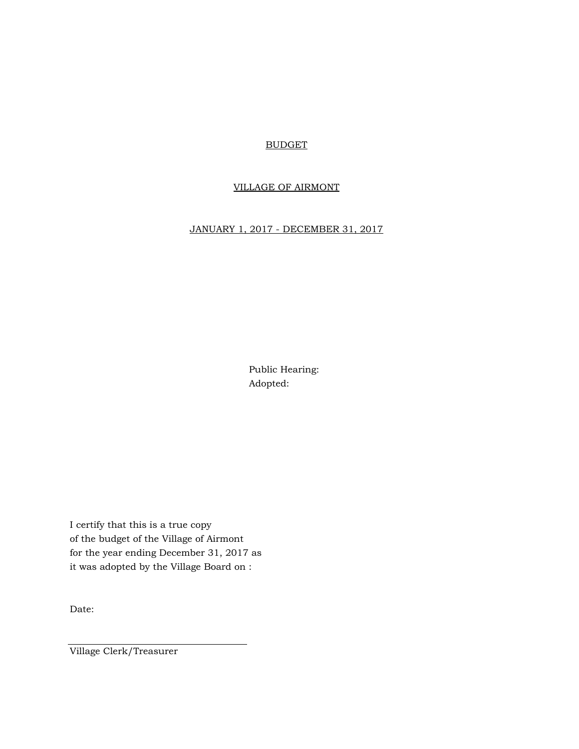#### BUDGET

### VILLAGE OF AIRMONT

## JANUARY 1, 2017 - DECEMBER 31, 2017

Public Hearing: Adopted:

I certify that this is a true copy of the budget of the Village of Airmont for the year ending December 31, 2017 as it was adopted by the Village Board on :

Date:

Village Clerk/Treasurer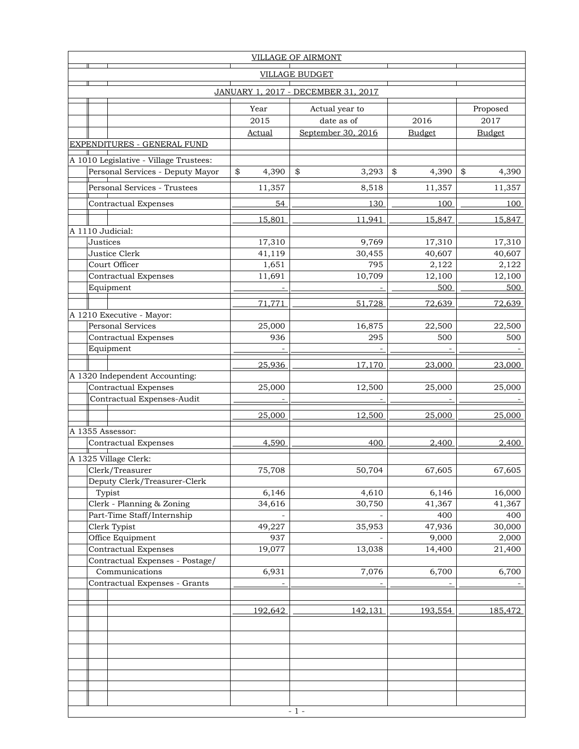| <b>VILLAGE OF AIRMONT</b> |                                            |                                        |               |                              |               |                  |  |  |  |  |  |
|---------------------------|--------------------------------------------|----------------------------------------|---------------|------------------------------|---------------|------------------|--|--|--|--|--|
|                           | <b>VILLAGE BUDGET</b>                      |                                        |               |                              |               |                  |  |  |  |  |  |
|                           | <b>JANUARY 1, 2017 - DECEMBER 31, 2017</b> |                                        |               |                              |               |                  |  |  |  |  |  |
|                           |                                            |                                        |               |                              |               |                  |  |  |  |  |  |
|                           |                                            |                                        | Year<br>2015  | Actual year to<br>date as of | 2016          | Proposed<br>2017 |  |  |  |  |  |
|                           |                                            |                                        | <b>Actual</b> | September 30, 2016           |               |                  |  |  |  |  |  |
|                           |                                            | <b>EXPENDITURES - GENERAL FUND</b>     |               |                              | <b>Budget</b> | <b>Budget</b>    |  |  |  |  |  |
|                           |                                            |                                        |               |                              |               |                  |  |  |  |  |  |
|                           |                                            | A 1010 Legislative - Village Trustees: |               |                              |               |                  |  |  |  |  |  |
|                           |                                            | Personal Services - Deputy Mayor       | \$<br>4,390   | \$<br>3,293                  | \$<br>4,390   | \$<br>4,390      |  |  |  |  |  |
|                           |                                            | Personal Services - Trustees           | 11,357        | 8,518                        | 11,357        | 11,357           |  |  |  |  |  |
|                           |                                            | <b>Contractual Expenses</b>            | 54            | 130                          | 100           | 100              |  |  |  |  |  |
|                           |                                            |                                        | 15,801        | 11,941                       | 15,847        | 15,847           |  |  |  |  |  |
|                           |                                            | A 1110 Judicial:                       |               |                              |               |                  |  |  |  |  |  |
|                           | Justices                                   |                                        | 17,310        | 9,769                        | 17,310        | 17,310           |  |  |  |  |  |
|                           |                                            | Justice Clerk                          | 41,119        | 30,455                       | 40,607        | 40,607           |  |  |  |  |  |
|                           |                                            | Court Officer                          | 1,651         | 795                          | 2,122         | 2,122            |  |  |  |  |  |
|                           |                                            | Contractual Expenses                   | 11,691        | 10,709                       | 12,100        | 12,100           |  |  |  |  |  |
|                           |                                            | Equipment                              |               |                              | 500           | 500              |  |  |  |  |  |
|                           |                                            |                                        | 71,771        | 51,728                       | 72,639        | 72,639           |  |  |  |  |  |
|                           |                                            | A 1210 Executive - Mayor:              |               |                              |               |                  |  |  |  |  |  |
|                           |                                            | Personal Services                      | 25,000        | 16,875                       | 22,500        | 22,500           |  |  |  |  |  |
|                           |                                            | <b>Contractual Expenses</b>            | 936           | 295                          | 500           | 500              |  |  |  |  |  |
|                           |                                            | Equipment                              |               |                              |               |                  |  |  |  |  |  |
|                           |                                            |                                        | 25,936        | 17,170                       | 23,000        | 23,000           |  |  |  |  |  |
|                           |                                            | A 1320 Independent Accounting:         |               |                              |               |                  |  |  |  |  |  |
|                           |                                            | <b>Contractual Expenses</b>            | 25,000        | 12,500                       | 25,000        | 25,000           |  |  |  |  |  |
|                           |                                            | Contractual Expenses-Audit             |               |                              |               |                  |  |  |  |  |  |
|                           |                                            |                                        | 25,000        | 12,500                       | 25,000        | 25,000           |  |  |  |  |  |
|                           |                                            | A 1355 Assessor:                       |               |                              |               |                  |  |  |  |  |  |
|                           |                                            | Contractual Expenses                   | 4,590         | 400                          | 2,400         | 2,400            |  |  |  |  |  |
|                           |                                            | A 1325 Village Clerk:                  |               |                              |               |                  |  |  |  |  |  |
|                           |                                            | Clerk/Treasurer                        | 75,708        | 50,704                       | 67,605        | 67,605           |  |  |  |  |  |
|                           |                                            | Deputy Clerk/Treasurer-Clerk           |               |                              |               |                  |  |  |  |  |  |
|                           |                                            | Typist                                 | 6,146         | 4,610                        | 6,146         | 16,000           |  |  |  |  |  |
|                           |                                            | Clerk - Planning & Zoning              | 34,616        | 30,750                       | 41,367        | 41,367           |  |  |  |  |  |
|                           |                                            | Part-Time Staff/Internship             |               |                              | 400           | 400              |  |  |  |  |  |
|                           |                                            | Clerk Typist                           | 49,227        | 35,953                       | 47,936        | 30,000           |  |  |  |  |  |
|                           |                                            | Office Equipment                       | 937           |                              | 9,000         | 2,000            |  |  |  |  |  |
|                           |                                            | <b>Contractual Expenses</b>            | 19,077        | 13,038                       | 14,400        | 21,400           |  |  |  |  |  |
|                           |                                            | Contractual Expenses - Postage/        |               |                              |               |                  |  |  |  |  |  |
|                           |                                            | Communications                         | 6,931         | 7,076                        | 6,700         | 6,700            |  |  |  |  |  |
|                           |                                            | Contractual Expenses - Grants          |               |                              |               |                  |  |  |  |  |  |
|                           |                                            |                                        |               |                              |               |                  |  |  |  |  |  |
|                           |                                            |                                        | 192,642       | 142,131                      | 193,554       | 185,472          |  |  |  |  |  |
|                           |                                            |                                        |               |                              |               |                  |  |  |  |  |  |
|                           |                                            |                                        |               |                              |               |                  |  |  |  |  |  |
|                           |                                            |                                        |               |                              |               |                  |  |  |  |  |  |
|                           |                                            |                                        |               |                              |               |                  |  |  |  |  |  |
|                           |                                            |                                        |               |                              |               |                  |  |  |  |  |  |
|                           |                                            |                                        |               |                              |               |                  |  |  |  |  |  |
|                           |                                            |                                        |               |                              |               |                  |  |  |  |  |  |
|                           |                                            | $\sim 1$ -                             |               |                              |               |                  |  |  |  |  |  |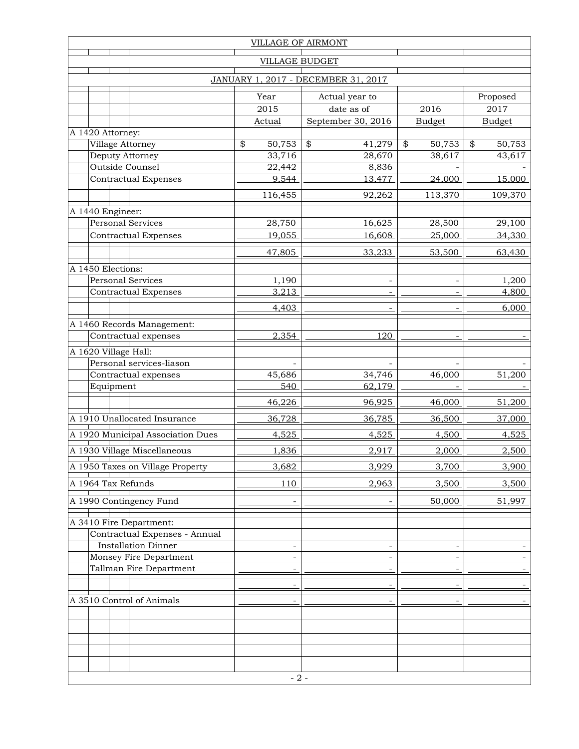| <b>VILLAGE OF AIRMONT</b> |           |                                                    |      |                |                                     |               |               |  |
|---------------------------|-----------|----------------------------------------------------|------|----------------|-------------------------------------|---------------|---------------|--|
| <b>VILLAGE BUDGET</b>     |           |                                                    |      |                |                                     |               |               |  |
|                           |           |                                                    |      |                | JANUARY 1, 2017 - DECEMBER 31, 2017 |               |               |  |
|                           |           |                                                    |      | Year           | Actual year to                      |               | Proposed      |  |
|                           |           |                                                    | 2015 | date as of     | 2016                                | 2017          |               |  |
| A 1420 Attorney:          |           |                                                    |      | <b>Actual</b>  | September 30, 2016                  | <b>Budget</b> | <b>Budget</b> |  |
|                           |           | Village Attorney                                   | \$   | 50,753         | \$<br>41,279                        | \$<br>50,753  | \$<br>50,753  |  |
|                           |           | Deputy Attorney                                    |      | 33,716         | 28,670                              | 38,617        | 43,617        |  |
|                           |           | <b>Outside Counsel</b>                             |      | 22,442         | 8,836                               |               |               |  |
|                           |           | <b>Contractual Expenses</b>                        |      | 9,544          | 13,477                              | 24,000        | 15,000        |  |
|                           |           |                                                    |      | 116,455        | 92,262                              | 113,370       | 109,370       |  |
| A 1440 Engineer:          |           |                                                    |      |                |                                     |               |               |  |
|                           |           | <b>Personal Services</b>                           |      | 28,750         | 16,625                              | 28,500        | 29,100        |  |
|                           |           | <b>Contractual Expenses</b>                        |      | 19,055         | 16,608                              | 25,000        | 34,330        |  |
|                           |           |                                                    |      | 47,805         | 33,233                              | 53,500        | 63,430        |  |
| A 1450 Elections:         |           |                                                    |      |                |                                     |               |               |  |
|                           |           | <b>Personal Services</b>                           |      | 1,190          | ÷                                   |               | 1,200         |  |
|                           |           | <b>Contractual Expenses</b>                        |      | 3,213          |                                     |               | 4,800         |  |
|                           |           |                                                    |      | 4,403          | ÷                                   |               | 6,000         |  |
|                           |           |                                                    |      |                |                                     |               |               |  |
|                           |           | A 1460 Records Management:<br>Contractual expenses |      | 2,354          | 120                                 |               |               |  |
|                           |           |                                                    |      |                |                                     |               |               |  |
|                           |           | A 1620 Village Hall:<br>Personal services-liason   |      |                |                                     |               |               |  |
|                           |           | Contractual expenses                               |      | 45,686         | 34,746                              | 46,000        | 51,200        |  |
|                           | Equipment |                                                    |      | 540            | 62,179                              |               |               |  |
|                           |           |                                                    |      | 46,226         | 96,925                              | 46,000        | 51,200        |  |
|                           |           | A 1910 Unallocated Insurance                       |      | 36,728         | 36,785                              | 36,500        | 37,000        |  |
|                           |           | A 1920 Municipal Association Dues                  |      | 4,525          | 4,525                               | 4,500         | 4,525         |  |
|                           |           | A 1930 Village Miscellaneous                       |      |                |                                     |               |               |  |
|                           |           |                                                    |      | 1,836          | 2,917                               | 2,000         | 2,500         |  |
|                           |           | A 1950 Taxes on Village Property                   |      | 3,682          | 3,929                               | 3,700         | 3,900         |  |
|                           |           | A 1964 Tax Refunds                                 |      | 110            | 2,963                               | 3,500         | 3,500         |  |
|                           |           | A 1990 Contingency Fund                            |      |                |                                     | 50,000        | 51,997        |  |
|                           |           | A 3410 Fire Department:                            |      |                |                                     |               |               |  |
|                           |           | Contractual Expenses - Annual                      |      |                |                                     |               |               |  |
|                           |           | <b>Installation Dinner</b>                         |      | $\overline{a}$ |                                     |               |               |  |
|                           |           | Monsey Fire Department                             |      | L.             | ÷,                                  |               |               |  |
|                           |           | Tallman Fire Department                            |      | L,             |                                     |               |               |  |
|                           |           |                                                    |      |                |                                     |               |               |  |
|                           |           | A 3510 Control of Animals                          |      | L,             | $\overline{\phantom{a}}$            |               |               |  |
|                           |           |                                                    |      |                |                                     |               |               |  |
|                           |           |                                                    |      |                |                                     |               |               |  |
|                           |           |                                                    |      |                |                                     |               |               |  |
|                           |           |                                                    |      |                |                                     |               |               |  |
|                           |           |                                                    |      |                |                                     |               |               |  |
| $-2-$                     |           |                                                    |      |                |                                     |               |               |  |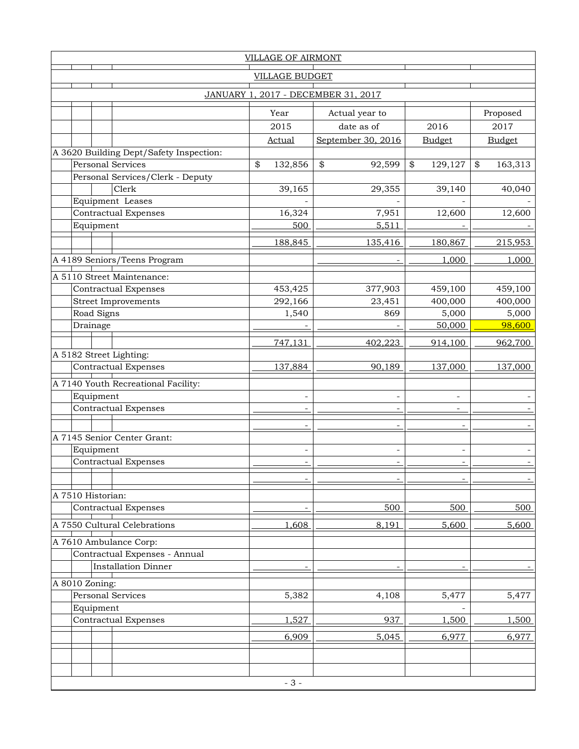| <b>VILLAGE OF AIRMONT</b>           |                   |                                                         |    |               |                    |                          |               |  |  |
|-------------------------------------|-------------------|---------------------------------------------------------|----|---------------|--------------------|--------------------------|---------------|--|--|
| <b>VILLAGE BUDGET</b>               |                   |                                                         |    |               |                    |                          |               |  |  |
| JANUARY 1, 2017 - DECEMBER 31, 2017 |                   |                                                         |    |               |                    |                          |               |  |  |
|                                     |                   |                                                         |    | Year          | Actual year to     |                          | Proposed      |  |  |
|                                     |                   |                                                         |    | 2015          | date as of         | 2016                     | 2017          |  |  |
|                                     |                   |                                                         |    | <b>Actual</b> | September 30, 2016 | <b>Budget</b>            | <b>Budget</b> |  |  |
|                                     |                   | A 3620 Building Dept/Safety Inspection:                 |    |               |                    |                          |               |  |  |
|                                     |                   | <b>Personal Services</b>                                | \$ | 132,856       | \$<br>92,599       | \$<br>129,127            | \$<br>163,313 |  |  |
|                                     |                   | Personal Services/Clerk - Deputy                        |    |               |                    |                          |               |  |  |
|                                     |                   | Clerk                                                   |    | 39,165        | 29,355             | 39,140                   | 40,040        |  |  |
|                                     |                   | Equipment Leases                                        |    |               |                    |                          |               |  |  |
|                                     |                   | <b>Contractual Expenses</b>                             |    | 16,324        | 7,951              | 12,600                   | 12,600        |  |  |
|                                     | Equipment         |                                                         |    | 500           | 5,511              |                          |               |  |  |
|                                     |                   |                                                         |    | 188,845       | 135,416            | 180,867                  | 215,953       |  |  |
|                                     |                   | A 4189 Seniors/Teens Program                            |    |               |                    | 1,000                    | 1,000         |  |  |
|                                     |                   | A 5110 Street Maintenance:                              |    |               |                    |                          |               |  |  |
|                                     |                   | <b>Contractual Expenses</b>                             |    | 453,425       | 377,903            | 459,100                  | 459,100       |  |  |
|                                     |                   | <b>Street Improvements</b>                              |    | 292,166       | 23,451             | 400,000                  | 400,000       |  |  |
|                                     | Road Signs        |                                                         |    | 1,540         | 869                | 5,000                    | 5,000         |  |  |
|                                     | Drainage          |                                                         |    |               |                    | 50,000                   | 98,600        |  |  |
|                                     |                   |                                                         |    | 747,131       | 402,223            | 914,100                  | 962,700       |  |  |
|                                     |                   | A 5182 Street Lighting:                                 |    |               |                    |                          |               |  |  |
|                                     |                   | <b>Contractual Expenses</b>                             |    | 137,884       | 90,189             | 137,000                  | 137,000       |  |  |
|                                     |                   |                                                         |    |               |                    |                          |               |  |  |
|                                     |                   | A 7140 Youth Recreational Facility:                     |    |               |                    |                          |               |  |  |
|                                     | Equipment         |                                                         |    |               |                    | $\overline{\phantom{a}}$ |               |  |  |
|                                     |                   | <b>Contractual Expenses</b>                             |    |               |                    | ٠                        |               |  |  |
|                                     |                   |                                                         |    |               |                    |                          |               |  |  |
|                                     |                   | A 7145 Senior Center Grant:                             |    |               |                    |                          |               |  |  |
|                                     | Equipment         |                                                         |    | L,            | L,                 |                          |               |  |  |
|                                     |                   | <b>Contractual Expenses</b>                             |    |               |                    |                          |               |  |  |
|                                     |                   |                                                         |    |               |                    |                          |               |  |  |
|                                     | A 7510 Historian: |                                                         |    |               |                    |                          |               |  |  |
|                                     |                   | <b>Contractual Expenses</b>                             |    |               | 500                | 500                      | 500           |  |  |
|                                     |                   | A 7550 Cultural Celebrations                            |    | 1,608         | 8,191              | 5,600                    | 5,600         |  |  |
|                                     |                   |                                                         |    |               |                    |                          |               |  |  |
|                                     |                   | A 7610 Ambulance Corp:<br>Contractual Expenses - Annual |    |               |                    |                          |               |  |  |
|                                     |                   | <b>Installation Dinner</b>                              |    |               |                    |                          |               |  |  |
|                                     |                   |                                                         |    |               |                    |                          |               |  |  |
|                                     | A 8010 Zoning:    |                                                         |    |               |                    |                          |               |  |  |
|                                     |                   | Personal Services                                       |    | 5,382         | 4,108              | 5,477                    | 5,477         |  |  |
|                                     | Equipment         |                                                         |    |               |                    |                          |               |  |  |
|                                     |                   | <b>Contractual Expenses</b>                             |    | 1,527         | 937                | 1,500                    | 1,500         |  |  |
|                                     |                   |                                                         |    | 6,909         | 5,045              | 6,977                    | 6,977         |  |  |
|                                     |                   |                                                         |    |               |                    |                          |               |  |  |
|                                     |                   |                                                         |    |               |                    |                          |               |  |  |
| $-3-$                               |                   |                                                         |    |               |                    |                          |               |  |  |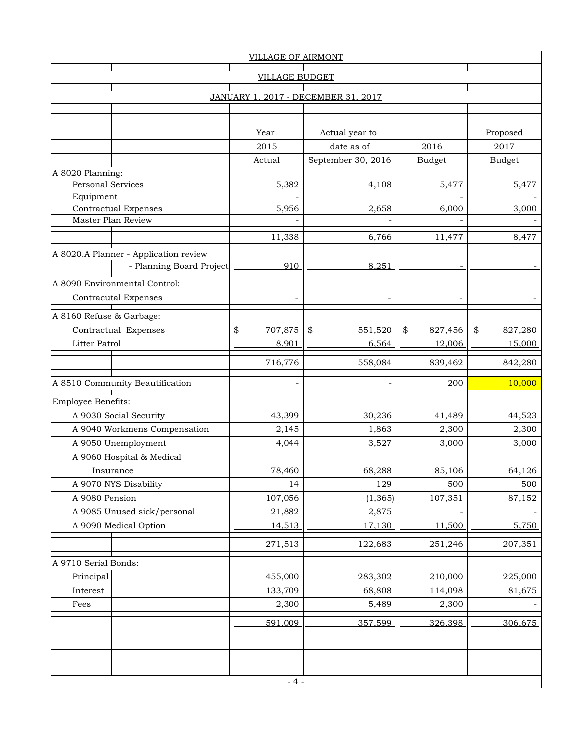| <b>VILLAGE OF AIRMONT</b> |                                            |               |                                     |                   |                   |  |  |  |  |  |
|---------------------------|--------------------------------------------|---------------|-------------------------------------|-------------------|-------------------|--|--|--|--|--|
| <b>VILLAGE BUDGET</b>     |                                            |               |                                     |                   |                   |  |  |  |  |  |
|                           |                                            |               |                                     |                   |                   |  |  |  |  |  |
|                           |                                            |               | JANUARY 1, 2017 - DECEMBER 31, 2017 |                   |                   |  |  |  |  |  |
|                           |                                            |               |                                     |                   |                   |  |  |  |  |  |
|                           |                                            | Year          | Actual year to                      |                   | Proposed          |  |  |  |  |  |
|                           |                                            | 2015          | date as of                          | 2016              | 2017              |  |  |  |  |  |
|                           |                                            | <b>Actual</b> | September 30, 2016                  | <b>Budget</b>     | <b>Budget</b>     |  |  |  |  |  |
| A 8020 Planning:          |                                            |               |                                     |                   |                   |  |  |  |  |  |
| <b>Personal Services</b>  |                                            | 5,382         | 4,108                               | 5,477             | 5,477             |  |  |  |  |  |
| Equipment                 |                                            |               |                                     |                   |                   |  |  |  |  |  |
|                           | Contractual Expenses<br>Master Plan Review | 5,956         | 2,658                               | 6,000             | 3,000             |  |  |  |  |  |
|                           |                                            |               |                                     |                   |                   |  |  |  |  |  |
|                           |                                            | 11,338        | 6,766                               | 11,477            | 8,477             |  |  |  |  |  |
|                           | A 8020.A Planner - Application review      |               |                                     |                   |                   |  |  |  |  |  |
|                           | - Planning Board Project                   | 910           | 8,251                               |                   |                   |  |  |  |  |  |
|                           | A 8090 Environmental Control:              |               |                                     |                   |                   |  |  |  |  |  |
|                           | <b>Contracutal Expenses</b>                |               |                                     |                   |                   |  |  |  |  |  |
|                           |                                            |               |                                     |                   |                   |  |  |  |  |  |
|                           | A 8160 Refuse & Garbage:                   | \$<br>707,875 | \$                                  | \$                | \$                |  |  |  |  |  |
| <b>Litter Patrol</b>      | Contractual Expenses                       | 8,901         | 551,520<br>6,564                    | 827,456<br>12,006 | 827,280<br>15,000 |  |  |  |  |  |
|                           |                                            |               |                                     |                   |                   |  |  |  |  |  |
|                           |                                            | 716,776       | 558,084                             | 839,462           | 842,280           |  |  |  |  |  |
|                           |                                            |               |                                     |                   |                   |  |  |  |  |  |
|                           |                                            |               |                                     |                   |                   |  |  |  |  |  |
|                           | A 8510 Community Beautification            |               |                                     | 200               | 10,000            |  |  |  |  |  |
| Employee Benefits:        |                                            |               |                                     |                   |                   |  |  |  |  |  |
|                           | A 9030 Social Security                     | 43,399        | 30,236                              | 41,489            | 44,523            |  |  |  |  |  |
|                           | A 9040 Workmens Compensation               | 2,145         | 1,863                               | 2,300             | 2,300             |  |  |  |  |  |
|                           | A 9050 Unemployment                        | 4,044         | 3,527                               | 3,000             | 3,000             |  |  |  |  |  |
|                           | A 9060 Hospital & Medical                  |               |                                     |                   |                   |  |  |  |  |  |
|                           | Insurance                                  | 78,460        | 68,288                              | 85,106            | 64,126            |  |  |  |  |  |
|                           | A 9070 NYS Disability                      | 14            | 129                                 | 500               | 500               |  |  |  |  |  |
| A 9080 Pension            |                                            | 107,056       | (1, 365)                            | 107,351           | 87,152            |  |  |  |  |  |
|                           | A 9085 Unused sick/personal                | 21,882        | 2,875                               |                   |                   |  |  |  |  |  |
|                           | A 9090 Medical Option                      | 14,513        | 17,130                              | 11,500            | 5,750             |  |  |  |  |  |
|                           |                                            | 271,513       | 122,683                             | 251,246           | 207,351           |  |  |  |  |  |
|                           |                                            |               |                                     |                   |                   |  |  |  |  |  |
| A 9710 Serial Bonds:      |                                            |               |                                     |                   |                   |  |  |  |  |  |
| Principal                 |                                            | 455,000       | 283,302                             | 210,000           | 225,000           |  |  |  |  |  |
| Interest                  |                                            | 133,709       | 68,808                              | 114,098           | 81,675            |  |  |  |  |  |
| Fees                      |                                            | 2,300         | 5,489                               | 2,300             |                   |  |  |  |  |  |
|                           |                                            | 591,009       | 357,599                             | 326,398           | 306,675           |  |  |  |  |  |
|                           |                                            |               |                                     |                   |                   |  |  |  |  |  |
|                           |                                            |               |                                     |                   |                   |  |  |  |  |  |
|                           |                                            |               |                                     |                   |                   |  |  |  |  |  |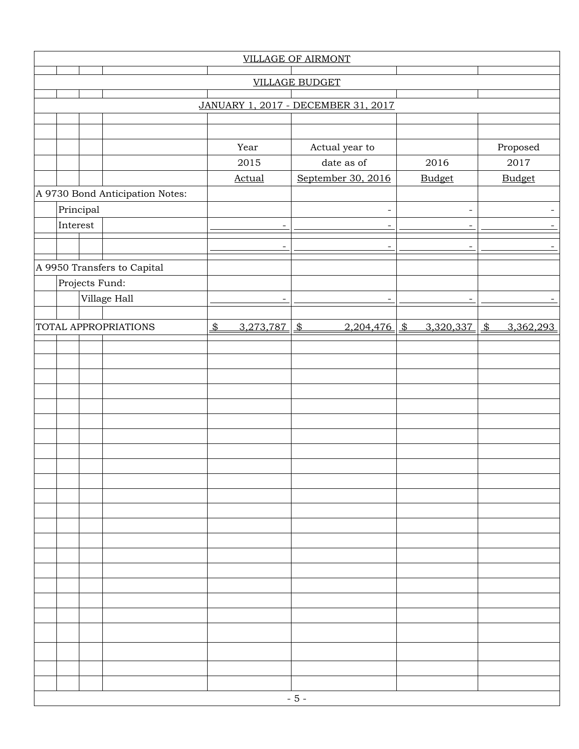| <b>VILLAGE OF AIRMONT</b>           |           |                                 |               |                          |                            |                            |                            |  |  |  |
|-------------------------------------|-----------|---------------------------------|---------------|--------------------------|----------------------------|----------------------------|----------------------------|--|--|--|
| <b>VILLAGE BUDGET</b>               |           |                                 |               |                          |                            |                            |                            |  |  |  |
| JANUARY 1, 2017 - DECEMBER 31, 2017 |           |                                 |               |                          |                            |                            |                            |  |  |  |
|                                     |           |                                 |               |                          |                            |                            |                            |  |  |  |
|                                     |           |                                 |               |                          |                            |                            |                            |  |  |  |
|                                     |           |                                 |               | Year                     | Actual year to             |                            | Proposed                   |  |  |  |
|                                     |           |                                 |               | 2015                     | date as of                 | 2016                       | 2017                       |  |  |  |
|                                     |           |                                 |               | <b>Actual</b>            | September 30, 2016         | <b>Budget</b>              | <b>Budget</b>              |  |  |  |
|                                     |           | A 9730 Bond Anticipation Notes: |               |                          |                            |                            |                            |  |  |  |
|                                     | Principal |                                 |               |                          | $\overline{\phantom{a}}$   | $\overline{\phantom{a}}$   | $\overline{\phantom{0}}$   |  |  |  |
| Interest                            |           |                                 |               |                          | $\overline{\phantom{0}}$   | $\overline{\phantom{a}}$   |                            |  |  |  |
|                                     |           |                                 |               |                          | ٠                          |                            |                            |  |  |  |
|                                     |           |                                 |               |                          |                            |                            |                            |  |  |  |
|                                     |           | A 9950 Transfers to Capital     |               |                          |                            |                            |                            |  |  |  |
|                                     |           | Projects Fund:                  |               |                          |                            |                            |                            |  |  |  |
|                                     |           | Village Hall                    |               | $\overline{\phantom{a}}$ | $\overline{\phantom{a}}$   | $\overline{\phantom{a}}$   | $\overline{\phantom{a}}$   |  |  |  |
|                                     |           |                                 |               |                          |                            |                            |                            |  |  |  |
|                                     |           | <b>TOTAL APPROPRIATIONS</b>     | $\frac{2}{3}$ | 3,273,787                | $\frac{1}{2}$<br>2,204,476 | $\frac{1}{2}$<br>3,320,337 | $\frac{2}{3}$<br>3,362,293 |  |  |  |
|                                     |           |                                 |               |                          |                            |                            |                            |  |  |  |
|                                     |           |                                 |               |                          |                            |                            |                            |  |  |  |
|                                     |           |                                 |               |                          |                            |                            |                            |  |  |  |
|                                     |           |                                 |               |                          |                            |                            |                            |  |  |  |
|                                     |           |                                 |               |                          |                            |                            |                            |  |  |  |
|                                     |           |                                 |               |                          |                            |                            |                            |  |  |  |
|                                     |           |                                 |               |                          |                            |                            |                            |  |  |  |
|                                     |           |                                 |               |                          |                            |                            |                            |  |  |  |
|                                     |           |                                 |               |                          |                            |                            |                            |  |  |  |
|                                     |           |                                 |               |                          |                            |                            |                            |  |  |  |
|                                     |           |                                 |               |                          |                            |                            |                            |  |  |  |
|                                     |           |                                 |               |                          |                            |                            |                            |  |  |  |
|                                     |           |                                 |               |                          |                            |                            |                            |  |  |  |
|                                     |           |                                 |               |                          |                            |                            |                            |  |  |  |
|                                     |           |                                 |               |                          |                            |                            |                            |  |  |  |
|                                     |           |                                 |               |                          |                            |                            |                            |  |  |  |
|                                     |           |                                 |               |                          |                            |                            |                            |  |  |  |
|                                     |           |                                 |               |                          |                            |                            |                            |  |  |  |
|                                     |           |                                 |               |                          |                            |                            |                            |  |  |  |
|                                     |           |                                 |               |                          |                            |                            |                            |  |  |  |
|                                     |           |                                 |               |                          |                            |                            |                            |  |  |  |
|                                     |           |                                 |               |                          |                            |                            |                            |  |  |  |
| $-5-$                               |           |                                 |               |                          |                            |                            |                            |  |  |  |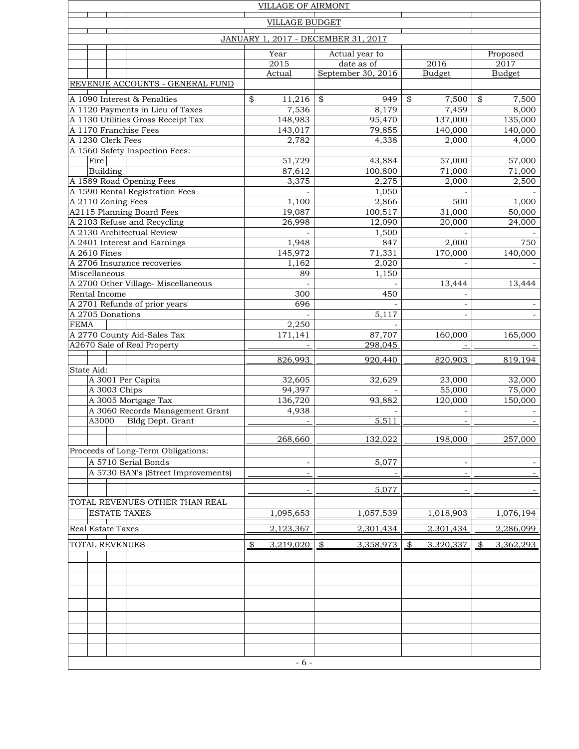| <b>VILLAGE OF AIRMONT</b>                                   |                            |                             |                            |                            |  |  |  |  |  |
|-------------------------------------------------------------|----------------------------|-----------------------------|----------------------------|----------------------------|--|--|--|--|--|
| <b>VILLAGE BUDGET</b>                                       |                            |                             |                            |                            |  |  |  |  |  |
| JANUARY 1, 2017 - DECEMBER 31, 2017                         |                            |                             |                            |                            |  |  |  |  |  |
|                                                             |                            |                             |                            |                            |  |  |  |  |  |
|                                                             | Year                       | Actual year to              |                            | Proposed                   |  |  |  |  |  |
|                                                             | $\overline{2015}$          | date as of                  | 2016                       | $\overline{2017}$          |  |  |  |  |  |
|                                                             | <b>Actual</b>              | September 30, 2016          | <b>Budget</b>              | <b>Budget</b>              |  |  |  |  |  |
| REVENUE ACCOUNTS - GENERAL FUND                             |                            |                             |                            |                            |  |  |  |  |  |
| A 1090 Interest & Penalties                                 | 11,216<br>\$               | \$<br>949                   | \$<br>7,500                | \$<br>7,500                |  |  |  |  |  |
| A 1120 Payments in Lieu of Taxes                            | 7,536                      | 8,179                       | 7,459                      | 8,000                      |  |  |  |  |  |
| A 1130 Utilities Gross Receipt Tax<br>A 1170 Franchise Fees | 148,983                    | 95,470                      | 137,000<br>140,000         | 135,000                    |  |  |  |  |  |
| A 1230 Clerk Fees                                           | 143,017<br>2,782           | 79,855<br>4,338             | 2,000                      | 140,000<br>4,000           |  |  |  |  |  |
| A 1560 Safety Inspection Fees:                              |                            |                             |                            |                            |  |  |  |  |  |
| Fire                                                        | 51,729                     | 43,884                      | 57,000                     | 57,000                     |  |  |  |  |  |
| Building                                                    | 87,612                     | 100,800                     | 71,000                     | 71,000                     |  |  |  |  |  |
| A 1589 Road Opening Fees                                    | 3,375                      | 2,275                       | 2,000                      | 2,500                      |  |  |  |  |  |
| A 1590 Rental Registration Fees                             |                            | 1,050                       |                            |                            |  |  |  |  |  |
| A 2110 Zoning Fees                                          | 1,100                      | 2,866                       | 500                        | 1,000                      |  |  |  |  |  |
| A2115 Planning Board Fees                                   | 19,087                     | 100,517                     | 31,000                     | 50,000                     |  |  |  |  |  |
| A 2103 Refuse and Recycling                                 | 26,998                     | 12,090                      | 20,000                     | 24,000                     |  |  |  |  |  |
| A 2130 Architectual Review<br>A 2401 Interest and Earnings  | 1,948                      | 1,500<br>847                | 2,000                      | 750                        |  |  |  |  |  |
| A 2610 Fines                                                | 145,972                    | 71,331                      | 170,000                    | 140,000                    |  |  |  |  |  |
| A 2706 Insurance recoveries                                 | 1,162                      | 2,020                       |                            |                            |  |  |  |  |  |
| Miscellaneous                                               | 89                         | 1,150                       |                            |                            |  |  |  |  |  |
| A 2700 Other Village- Miscellaneous                         |                            |                             | 13,444                     | 13,444                     |  |  |  |  |  |
| Rental Income                                               | 300                        | 450                         |                            |                            |  |  |  |  |  |
| A 2701 Refunds of prior years'                              | 696                        |                             | $\overline{\phantom{a}}$   |                            |  |  |  |  |  |
| A 2705 Donations                                            |                            | 5,117                       |                            |                            |  |  |  |  |  |
| FEMA<br>A 2770 County Aid-Sales Tax                         | 2,250                      |                             |                            |                            |  |  |  |  |  |
| A2670 Sale of Real Property                                 | 171,141                    | 87,707<br>298,045           | 160,000                    | 165,000                    |  |  |  |  |  |
|                                                             |                            |                             |                            |                            |  |  |  |  |  |
|                                                             | 826,993                    | 920,440                     | 820,903                    | 819,194                    |  |  |  |  |  |
| State Aid:<br>A 3001 Per Capita                             | 32,605                     | 32,629                      | 23,000                     | 32,000                     |  |  |  |  |  |
| A 3003 Chips                                                | 94,397                     |                             | 55,000                     | 75,000                     |  |  |  |  |  |
| A 3005 Mortgage Tax                                         | 136,720                    | 93,882                      | 120,000                    | 150,000                    |  |  |  |  |  |
| A 3060 Records Management Grant                             | 4,938                      |                             |                            |                            |  |  |  |  |  |
| A3000<br>Bldg Dept. Grant                                   | $\overline{\phantom{a}}$   | 5,511                       |                            |                            |  |  |  |  |  |
|                                                             |                            |                             |                            |                            |  |  |  |  |  |
|                                                             | 268,660                    | 132,022                     | 198,000                    | 257,000                    |  |  |  |  |  |
| Proceeds of Long-Term Obligations:                          |                            |                             |                            |                            |  |  |  |  |  |
| A 5710 Serial Bonds                                         | $\overline{\phantom{0}}$   | 5,077                       | $\overline{\phantom{a}}$   |                            |  |  |  |  |  |
| A 5730 BAN's (Street Improvements)                          |                            |                             |                            |                            |  |  |  |  |  |
|                                                             |                            | 5,077                       |                            |                            |  |  |  |  |  |
| TOTAL REVENUES OTHER THAN REAL                              |                            |                             |                            |                            |  |  |  |  |  |
| <b>ESTATE TAXES</b>                                         | 1,095,653                  | 1,057,539                   | 1,018,903                  | 1,076,194                  |  |  |  |  |  |
| Real Estate Taxes                                           | 2,123,367                  | 2,301,434                   | 2,301,434                  | 2,286,099                  |  |  |  |  |  |
|                                                             |                            |                             |                            |                            |  |  |  |  |  |
| TOTAL REVENUES                                              | 3,219,020<br>$\frac{3}{2}$ | 3,358,973<br>$\mathfrak{B}$ | $\frac{1}{2}$<br>3,320,337 | 3,362,293<br>$\frac{3}{2}$ |  |  |  |  |  |
|                                                             |                            |                             |                            |                            |  |  |  |  |  |
|                                                             |                            |                             |                            |                            |  |  |  |  |  |
|                                                             |                            |                             |                            |                            |  |  |  |  |  |
|                                                             |                            |                             |                            |                            |  |  |  |  |  |
|                                                             |                            |                             |                            |                            |  |  |  |  |  |
|                                                             |                            |                             |                            |                            |  |  |  |  |  |
|                                                             |                            |                             |                            |                            |  |  |  |  |  |
|                                                             |                            |                             |                            |                            |  |  |  |  |  |
|                                                             |                            |                             |                            |                            |  |  |  |  |  |
|                                                             | $-6-$                      |                             |                            |                            |  |  |  |  |  |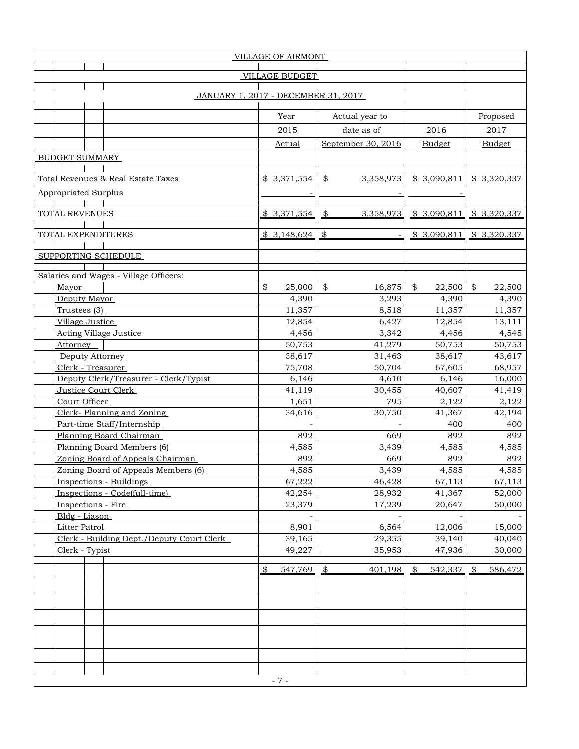| VILLAGE OF AIRMONT                        |                          |                            |                          |               |  |  |  |  |  |
|-------------------------------------------|--------------------------|----------------------------|--------------------------|---------------|--|--|--|--|--|
|                                           | <b>VILLAGE BUDGET</b>    |                            |                          |               |  |  |  |  |  |
|                                           |                          |                            |                          |               |  |  |  |  |  |
| JANUARY 1, 2017 - DECEMBER 31, 2017       |                          |                            |                          |               |  |  |  |  |  |
|                                           |                          |                            |                          |               |  |  |  |  |  |
|                                           | Year                     | Actual year to             |                          | Proposed      |  |  |  |  |  |
|                                           | 2015                     | date as of                 | 2016                     | 2017          |  |  |  |  |  |
|                                           | <b>Actual</b>            | September 30, 2016         | <b>Budget</b>            | <b>Budget</b> |  |  |  |  |  |
| <b>BUDGET SUMMARY</b>                     |                          |                            |                          |               |  |  |  |  |  |
|                                           |                          |                            |                          |               |  |  |  |  |  |
| Total Revenues & Real Estate Taxes        | \$3,371,554              | \$<br>3,358,973            | \$3,090,811              | \$3,320,337   |  |  |  |  |  |
| Appropriated Surplus                      |                          |                            |                          |               |  |  |  |  |  |
|                                           |                          |                            |                          |               |  |  |  |  |  |
| TOTAL REVENUES                            | \$3,371,554              | $\frac{1}{2}$<br>3,358,973 | \$3,090,811              | \$3,320,337   |  |  |  |  |  |
|                                           |                          |                            |                          |               |  |  |  |  |  |
| TOTAL EXPENDITURES                        | \$3,148,624              | $\frac{1}{2}$              | \$3,090,811              | \$3,320,337   |  |  |  |  |  |
|                                           |                          |                            |                          |               |  |  |  |  |  |
| SUPPORTING SCHEDULE                       |                          |                            |                          |               |  |  |  |  |  |
| Salaries and Wages - Village Officers:    |                          |                            |                          |               |  |  |  |  |  |
| Mayor                                     | \$<br>25,000             | \$<br>16,875               | \$<br>22,500             | \$<br>22,500  |  |  |  |  |  |
| Deputy Mayor                              | 4,390                    | 3,293                      | 4,390                    | 4,390         |  |  |  |  |  |
| Trustees (3)                              | 11,357                   | 8,518                      | 11,357                   | 11,357        |  |  |  |  |  |
| Village Justice                           | 12,854                   | 6,427                      | 12,854                   | 13,111        |  |  |  |  |  |
| <b>Acting Village Justice</b>             | 4,456                    | 3,342                      | 4,456                    | 4,545         |  |  |  |  |  |
| Attorney                                  | 50,753                   | 41,279                     | 50,753                   | 50,753        |  |  |  |  |  |
| Deputy Attorney                           | 38,617                   | 31,463                     | 38,617                   | 43,617        |  |  |  |  |  |
| Clerk - Treasurer                         | 75,708                   | 50,704                     | 67,605                   | 68,957        |  |  |  |  |  |
| Deputy Clerk/Treasurer - Clerk/Typist     | 6,146                    | 4,610                      | 6,146                    | 16,000        |  |  |  |  |  |
| Justice Court Clerk                       | 41,119                   | 30,455                     | 40,607                   | 41,419        |  |  |  |  |  |
| Court Officer                             | 1,651                    | 795                        | 2,122                    | 2,122         |  |  |  |  |  |
| Clerk-Planning and Zoning                 | 34,616                   | 30,750                     | 41,367                   | 42,194        |  |  |  |  |  |
| Part-time Staff/Internship                |                          |                            | 400                      | 400           |  |  |  |  |  |
| Planning Board Chairman                   | 892                      | 669                        | 892                      | 892           |  |  |  |  |  |
| Planning Board Members (6)                | 4,585                    | 3,439                      | 4,585                    | 4,585         |  |  |  |  |  |
| Zoning Board of Appeals Chairman          | 892                      | 669                        | 892                      | 892           |  |  |  |  |  |
| Zoning Board of Appeals Members (6)       | 4,585                    | 3,439                      | 4,585                    | 4,585         |  |  |  |  |  |
| <b>Inspections - Buildings</b>            | 67,222                   | 46,428                     | 67,113                   | 67,113        |  |  |  |  |  |
| Inspections - Code(full-time)             | 42,254                   | 28,932                     | 41,367                   | 52,000        |  |  |  |  |  |
| Inspections - Fire                        | 23,379                   | 17,239                     | 20,647                   | 50,000        |  |  |  |  |  |
| Bldg - Liason                             |                          |                            |                          |               |  |  |  |  |  |
| Litter Patrol                             | 8,901                    | 6,564                      | 12,006                   | 15,000        |  |  |  |  |  |
| Clerk - Building Dept./Deputy Court Clerk | 39,165                   | 29,355                     | 39,140                   | 40,040        |  |  |  |  |  |
| Clerk - Typist                            | 49,227                   | 35,953                     | 47,936                   | 30,000        |  |  |  |  |  |
|                                           |                          |                            |                          |               |  |  |  |  |  |
|                                           | $\frac{1}{2}$<br>547,769 | $\frac{1}{2}$<br>401,198   | 542,337<br>$\frac{1}{2}$ | 586,472<br>\$ |  |  |  |  |  |
|                                           |                          |                            |                          |               |  |  |  |  |  |
|                                           |                          |                            |                          |               |  |  |  |  |  |
|                                           |                          |                            |                          |               |  |  |  |  |  |
|                                           |                          |                            |                          |               |  |  |  |  |  |
|                                           |                          |                            |                          |               |  |  |  |  |  |
|                                           |                          |                            |                          |               |  |  |  |  |  |
|                                           |                          |                            |                          |               |  |  |  |  |  |
|                                           |                          |                            |                          |               |  |  |  |  |  |
|                                           | $-7-$                    |                            |                          |               |  |  |  |  |  |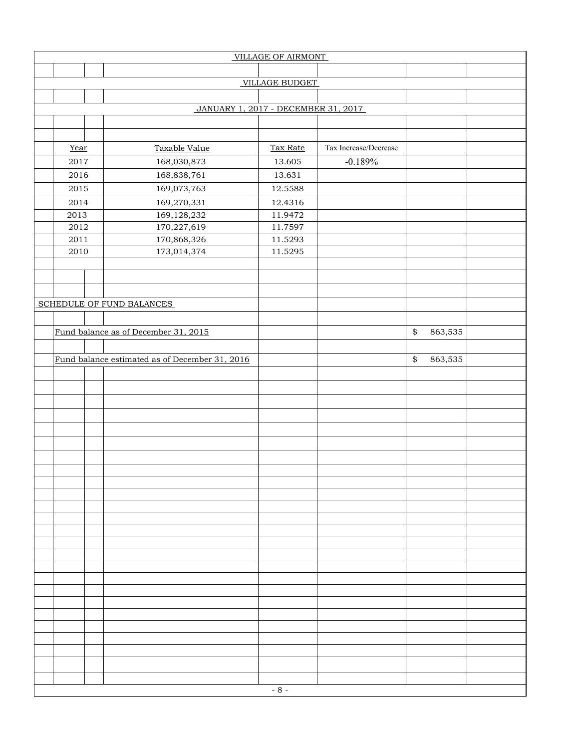| VILLAGE OF AIRMONT    |                                                |          |                       |              |         |  |  |  |  |
|-----------------------|------------------------------------------------|----------|-----------------------|--------------|---------|--|--|--|--|
|                       |                                                |          |                       |              |         |  |  |  |  |
| <b>VILLAGE BUDGET</b> |                                                |          |                       |              |         |  |  |  |  |
|                       |                                                |          |                       |              |         |  |  |  |  |
|                       | JANUARY 1, 2017 - DECEMBER 31, 2017            |          |                       |              |         |  |  |  |  |
|                       |                                                |          |                       |              |         |  |  |  |  |
|                       |                                                |          |                       |              |         |  |  |  |  |
| Year                  | Taxable Value                                  | Tax Rate | Tax Increase/Decrease |              |         |  |  |  |  |
| 2017                  | 168,030,873                                    | 13.605   | $-0.189%$             |              |         |  |  |  |  |
| 2016                  | 168,838,761                                    | 13.631   |                       |              |         |  |  |  |  |
| 2015                  | 169,073,763                                    | 12.5588  |                       |              |         |  |  |  |  |
| 2014                  | 169,270,331                                    | 12.4316  |                       |              |         |  |  |  |  |
| 2013                  | 169,128,232                                    | 11.9472  |                       |              |         |  |  |  |  |
| $\sqrt{2012}$         | 170,227,619                                    | 11.7597  |                       |              |         |  |  |  |  |
| $2011\,$              | 170,868,326                                    | 11.5293  |                       |              |         |  |  |  |  |
| 2010                  | 173,014,374                                    | 11.5295  |                       |              |         |  |  |  |  |
|                       |                                                |          |                       |              |         |  |  |  |  |
|                       |                                                |          |                       |              |         |  |  |  |  |
|                       |                                                |          |                       |              |         |  |  |  |  |
|                       | SCHEDULE OF FUND BALANCES                      |          |                       |              |         |  |  |  |  |
|                       |                                                |          |                       |              |         |  |  |  |  |
|                       | Fund balance as of December 31, 2015           |          |                       | $\spadesuit$ | 863,535 |  |  |  |  |
|                       |                                                |          |                       |              |         |  |  |  |  |
|                       | Fund balance estimated as of December 31, 2016 |          |                       | \$           | 863,535 |  |  |  |  |
|                       |                                                |          |                       |              |         |  |  |  |  |
|                       |                                                |          |                       |              |         |  |  |  |  |
|                       |                                                |          |                       |              |         |  |  |  |  |
|                       |                                                |          |                       |              |         |  |  |  |  |
|                       |                                                |          |                       |              |         |  |  |  |  |
|                       |                                                |          |                       |              |         |  |  |  |  |
|                       |                                                |          |                       |              |         |  |  |  |  |
|                       |                                                |          |                       |              |         |  |  |  |  |
|                       |                                                |          |                       |              |         |  |  |  |  |
|                       |                                                |          |                       |              |         |  |  |  |  |
|                       |                                                |          |                       |              |         |  |  |  |  |
|                       |                                                |          |                       |              |         |  |  |  |  |
|                       |                                                |          |                       |              |         |  |  |  |  |
|                       |                                                |          |                       |              |         |  |  |  |  |
|                       |                                                |          |                       |              |         |  |  |  |  |
|                       |                                                |          |                       |              |         |  |  |  |  |
|                       |                                                |          |                       |              |         |  |  |  |  |
|                       |                                                |          |                       |              |         |  |  |  |  |
|                       |                                                |          |                       |              |         |  |  |  |  |
|                       |                                                |          |                       |              |         |  |  |  |  |
|                       |                                                |          |                       |              |         |  |  |  |  |
|                       |                                                |          |                       |              |         |  |  |  |  |
|                       |                                                |          |                       |              |         |  |  |  |  |
|                       |                                                |          |                       |              |         |  |  |  |  |
|                       |                                                | $-8-$    |                       |              |         |  |  |  |  |